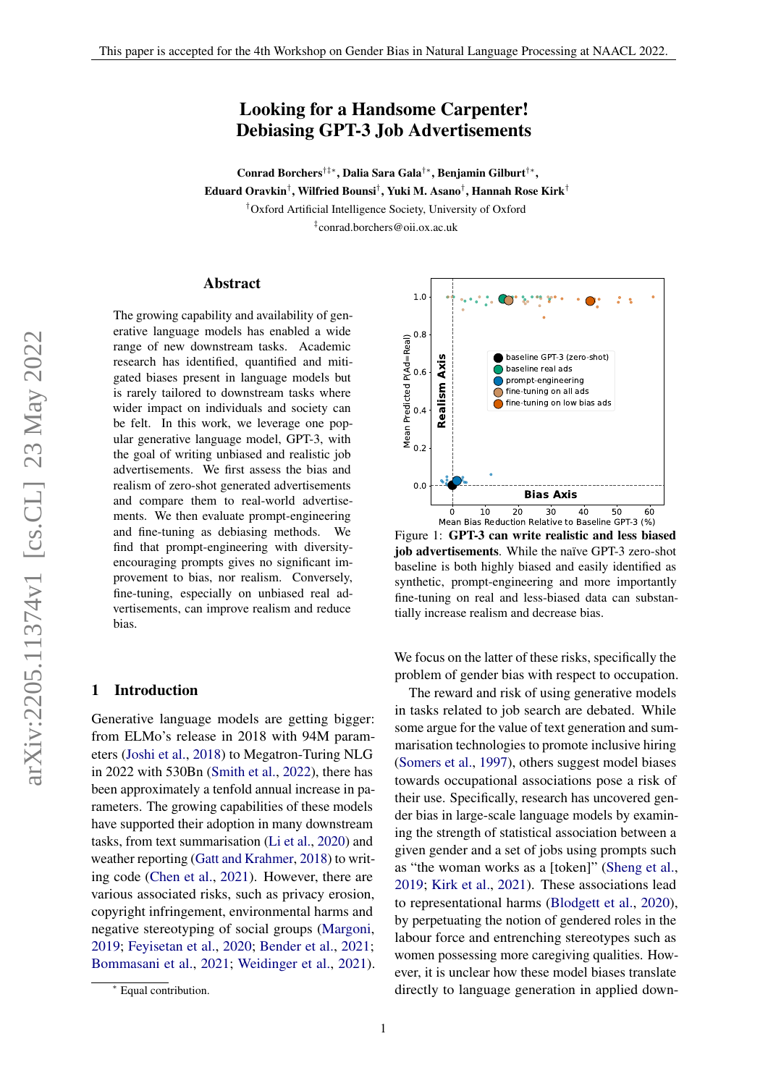# Looking for a Handsome Carpenter! Debiasing GPT-3 Job Advertisements

Conrad Borchers†‡∗, Dalia Sara Gala†∗, Benjamin Gilburt†∗ ,  ${\bf E}$ duard Oravkin $^\dagger,$  Wilfried Bounsi $^\dagger,$  Yuki M. Asano $^\dagger,$  Hannah Rose Kirk $^\dagger$ †Oxford Artificial Intelligence Society, University of Oxford ‡ conrad.borchers@oii.ox.ac.uk

#### Abstract

The growing capability and availability of generative language models has enabled a wide range of new downstream tasks. Academic research has identified, quantified and mitigated biases present in language models but is rarely tailored to downstream tasks where wider impact on individuals and society can be felt. In this work, we leverage one popular generative language model, GPT-3, with the goal of writing unbiased and realistic job advertisements. We first assess the bias and realism of zero-shot generated advertisements and compare them to real-world advertisements. We then evaluate prompt-engineering and fine-tuning as debiasing methods. We find that prompt-engineering with diversityencouraging prompts gives no significant improvement to bias, nor realism. Conversely, fine-tuning, especially on unbiased real advertisements, can improve realism and reduce bias.

#### 1 Introduction

Generative language models are getting bigger: from ELMo's release in 2018 with 94M parameters [\(Joshi et al.,](#page-7-0) [2018\)](#page-7-0) to Megatron-Turing NLG in 2022 with 530Bn [\(Smith et al.,](#page-7-1) [2022\)](#page-7-1), there has been approximately a tenfold annual increase in parameters. The growing capabilities of these models have supported their adoption in many downstream tasks, from text summarisation [\(Li et al.,](#page-7-2) [2020\)](#page-7-2) and weather reporting [\(Gatt and Krahmer,](#page-7-3) [2018\)](#page-7-3) to writing code [\(Chen et al.,](#page-6-0) [2021\)](#page-6-0). However, there are various associated risks, such as privacy erosion, copyright infringement, environmental harms and negative stereotyping of social groups [\(Margoni,](#page-7-4) [2019;](#page-7-4) [Feyisetan et al.,](#page-7-5) [2020;](#page-7-5) [Bender et al.,](#page-6-1) [2021;](#page-6-1) [Bommasani et al.,](#page-6-2) [2021;](#page-6-2) [Weidinger et al.,](#page-8-0) [2021\)](#page-8-0).

<span id="page-0-0"></span>

Figure 1: GPT-3 can write realistic and less biased job advertisements. While the naïve GPT-3 zero-shot baseline is both highly biased and easily identified as synthetic, prompt-engineering and more importantly fine-tuning on real and less-biased data can substantially increase realism and decrease bias.

We focus on the latter of these risks, specifically the problem of gender bias with respect to occupation.

The reward and risk of using generative models in tasks related to job search are debated. While some argue for the value of text generation and summarisation technologies to promote inclusive hiring [\(Somers et al.,](#page-8-1) [1997\)](#page-8-1), others suggest model biases towards occupational associations pose a risk of their use. Specifically, research has uncovered gender bias in large-scale language models by examining the strength of statistical association between a given gender and a set of jobs using prompts such as "the woman works as a [token]" [\(Sheng et al.,](#page-7-6) [2019;](#page-7-6) [Kirk et al.,](#page-7-7) [2021\)](#page-7-7). These associations lead to representational harms [\(Blodgett et al.,](#page-6-3) [2020\)](#page-6-3), by perpetuating the notion of gendered roles in the labour force and entrenching stereotypes such as women possessing more caregiving qualities. However, it is unclear how these model biases translate directly to language generation in applied down-

1

<sup>∗</sup> Equal contribution.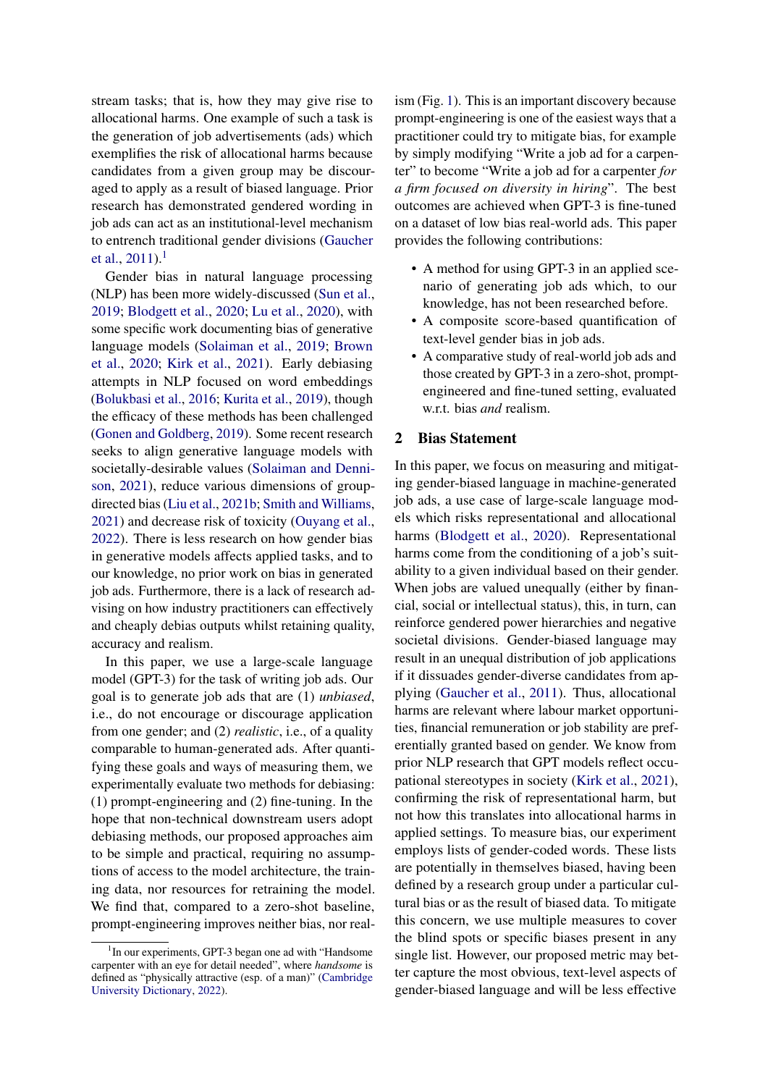stream tasks; that is, how they may give rise to allocational harms. One example of such a task is the generation of job advertisements (ads) which exemplifies the risk of allocational harms because candidates from a given group may be discouraged to apply as a result of biased language. Prior research has demonstrated gendered wording in job ads can act as an institutional-level mechanism to entrench traditional gender divisions [\(Gaucher](#page-7-8) [et al.,](#page-7-8)  $2011$  $2011$  $2011$ ).<sup>1</sup>

Gender bias in natural language processing (NLP) has been more widely-discussed [\(Sun et al.,](#page-8-2) [2019;](#page-8-2) [Blodgett et al.,](#page-6-3) [2020;](#page-6-3) [Lu et al.,](#page-7-9) [2020\)](#page-7-9), with some specific work documenting bias of generative language models [\(Solaiman et al.,](#page-8-3) [2019;](#page-8-3) [Brown](#page-6-4) [et al.,](#page-6-4) [2020;](#page-6-4) [Kirk et al.,](#page-7-7) [2021\)](#page-7-7). Early debiasing attempts in NLP focused on word embeddings [\(Bolukbasi et al.,](#page-6-5) [2016;](#page-6-5) [Kurita et al.,](#page-7-10) [2019\)](#page-7-10), though the efficacy of these methods has been challenged [\(Gonen and Goldberg,](#page-7-11) [2019\)](#page-7-11). Some recent research seeks to align generative language models with societally-desirable values [\(Solaiman and Denni](#page-8-4)[son,](#page-8-4) [2021\)](#page-8-4), reduce various dimensions of groupdirected bias [\(Liu et al.,](#page-7-12) [2021b;](#page-7-12) [Smith and Williams,](#page-7-13) [2021\)](#page-7-13) and decrease risk of toxicity [\(Ouyang et al.,](#page-7-14) [2022\)](#page-7-14). There is less research on how gender bias in generative models affects applied tasks, and to our knowledge, no prior work on bias in generated job ads. Furthermore, there is a lack of research advising on how industry practitioners can effectively and cheaply debias outputs whilst retaining quality, accuracy and realism.

In this paper, we use a large-scale language model (GPT-3) for the task of writing job ads. Our goal is to generate job ads that are (1) *unbiased*, i.e., do not encourage or discourage application from one gender; and (2) *realistic*, i.e., of a quality comparable to human-generated ads. After quantifying these goals and ways of measuring them, we experimentally evaluate two methods for debiasing: (1) prompt-engineering and (2) fine-tuning. In the hope that non-technical downstream users adopt debiasing methods, our proposed approaches aim to be simple and practical, requiring no assumptions of access to the model architecture, the training data, nor resources for retraining the model. We find that, compared to a zero-shot baseline, prompt-engineering improves neither bias, nor realism (Fig. [1\)](#page-0-0). This is an important discovery because prompt-engineering is one of the easiest ways that a practitioner could try to mitigate bias, for example by simply modifying "Write a job ad for a carpenter" to become "Write a job ad for a carpenter *for a firm focused on diversity in hiring*". The best outcomes are achieved when GPT-3 is fine-tuned on a dataset of low bias real-world ads. This paper provides the following contributions:

- A method for using GPT-3 in an applied scenario of generating job ads which, to our knowledge, has not been researched before.
- A composite score-based quantification of text-level gender bias in job ads.
- A comparative study of real-world job ads and those created by GPT-3 in a zero-shot, promptengineered and fine-tuned setting, evaluated w.r.t. bias *and* realism.

#### 2 Bias Statement

In this paper, we focus on measuring and mitigating gender-biased language in machine-generated job ads, a use case of large-scale language models which risks representational and allocational harms [\(Blodgett et al.,](#page-6-3) [2020\)](#page-6-3). Representational harms come from the conditioning of a job's suitability to a given individual based on their gender. When jobs are valued unequally (either by financial, social or intellectual status), this, in turn, can reinforce gendered power hierarchies and negative societal divisions. Gender-biased language may result in an unequal distribution of job applications if it dissuades gender-diverse candidates from applying [\(Gaucher et al.,](#page-7-8) [2011\)](#page-7-8). Thus, allocational harms are relevant where labour market opportunities, financial remuneration or job stability are preferentially granted based on gender. We know from prior NLP research that GPT models reflect occupational stereotypes in society [\(Kirk et al.,](#page-7-7) [2021\)](#page-7-7), confirming the risk of representational harm, but not how this translates into allocational harms in applied settings. To measure bias, our experiment employs lists of gender-coded words. These lists are potentially in themselves biased, having been defined by a research group under a particular cultural bias or as the result of biased data. To mitigate this concern, we use multiple measures to cover the blind spots or specific biases present in any single list. However, our proposed metric may better capture the most obvious, text-level aspects of gender-biased language and will be less effective

<span id="page-1-0"></span><sup>&</sup>lt;sup>1</sup>In our experiments, GPT-3 began one ad with "Handsome carpenter with an eye for detail needed", where *handsome* is defined as "physically attractive (esp. of a man)" [\(Cambridge](#page-6-6) [University Dictionary,](#page-6-6) [2022\)](#page-6-6).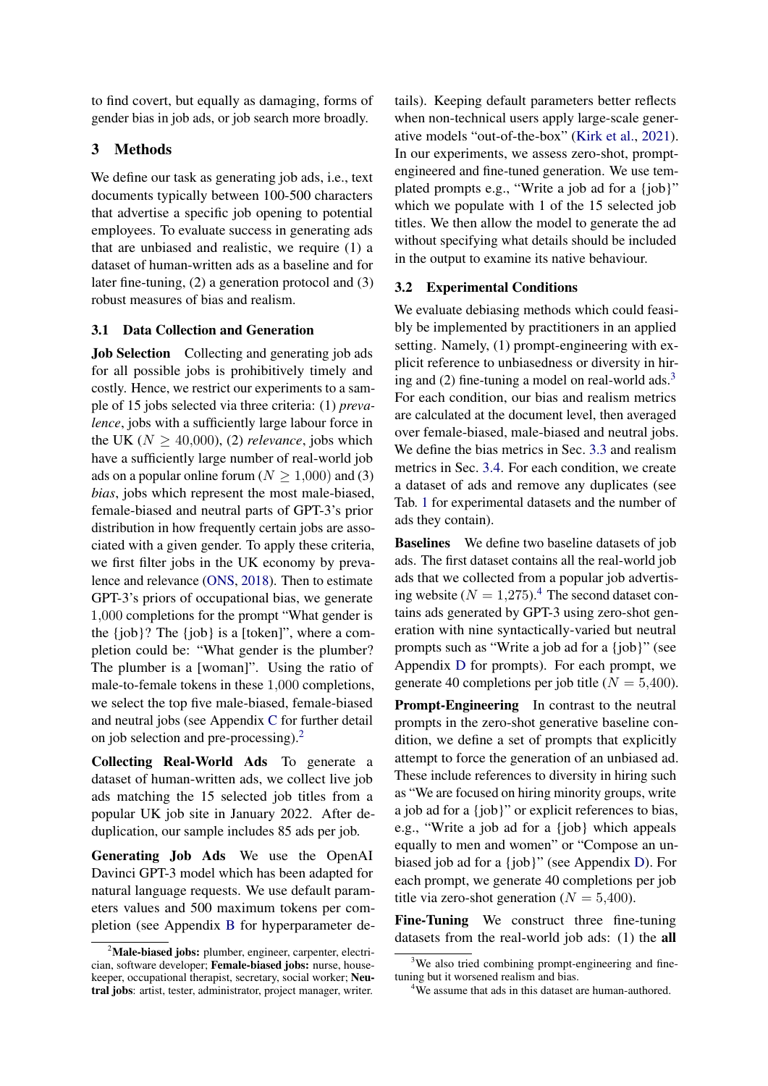to find covert, but equally as damaging, forms of gender bias in job ads, or job search more broadly.

## 3 Methods

We define our task as generating job ads, i.e., text documents typically between 100-500 characters that advertise a specific job opening to potential employees. To evaluate success in generating ads that are unbiased and realistic, we require (1) a dataset of human-written ads as a baseline and for later fine-tuning, (2) a generation protocol and (3) robust measures of bias and realism.

### 3.1 Data Collection and Generation

Job Selection Collecting and generating job ads for all possible jobs is prohibitively timely and costly. Hence, we restrict our experiments to a sample of 15 jobs selected via three criteria: (1) *prevalence*, jobs with a sufficiently large labour force in the UK ( $N \geq 40,000$ ), (2) *relevance*, jobs which have a sufficiently large number of real-world job ads on a popular online forum ( $N \ge 1,000$ ) and (3) *bias*, jobs which represent the most male-biased, female-biased and neutral parts of GPT-3's prior distribution in how frequently certain jobs are associated with a given gender. To apply these criteria, we first filter jobs in the UK economy by prevalence and relevance [\(ONS,](#page-7-15) [2018\)](#page-7-15). Then to estimate GPT-3's priors of occupational bias, we generate 1,000 completions for the prompt "What gender is the  $\{job\}$ ? The  $\{job\}$  is a  $[token]$ ", where a completion could be: "What gender is the plumber? The plumber is a [woman]". Using the ratio of male-to-female tokens in these 1,000 completions, we select the top five male-biased, female-biased and neutral jobs (see Appendix [C](#page-9-0) for further detail on job selection and pre-processing).[2](#page-2-0)

Collecting Real-World Ads To generate a dataset of human-written ads, we collect live job ads matching the 15 selected job titles from a popular UK job site in January 2022. After deduplication, our sample includes 85 ads per job.

Generating Job Ads We use the OpenAI Davinci GPT-3 model which has been adapted for natural language requests. We use default parameters values and 500 maximum tokens per completion (see Appendix [B](#page-9-1) for hyperparameter details). Keeping default parameters better reflects when non-technical users apply large-scale generative models "out-of-the-box" [\(Kirk et al.,](#page-7-7) [2021\)](#page-7-7). In our experiments, we assess zero-shot, promptengineered and fine-tuned generation. We use templated prompts e.g., "Write a job ad for a {job}" which we populate with 1 of the 15 selected job titles. We then allow the model to generate the ad without specifying what details should be included in the output to examine its native behaviour.

### 3.2 Experimental Conditions

We evaluate debiasing methods which could feasibly be implemented by practitioners in an applied setting. Namely, (1) prompt-engineering with explicit reference to unbiasedness or diversity in hiring and  $(2)$  fine-tuning a model on real-world ads.<sup>[3](#page-2-1)</sup> For each condition, our bias and realism metrics are calculated at the document level, then averaged over female-biased, male-biased and neutral jobs. We define the bias metrics in Sec. [3.3](#page-3-0) and realism metrics in Sec. [3.4.](#page-3-1) For each condition, we create a dataset of ads and remove any duplicates (see Tab. [1](#page-4-0) for experimental datasets and the number of ads they contain).

<span id="page-2-3"></span>Baselines We define two baseline datasets of job ads. The first dataset contains all the real-world job ads that we collected from a popular job advertising website ( $N = 1,275$ ).<sup>[4](#page-2-2)</sup> The second dataset contains ads generated by GPT-3 using zero-shot generation with nine syntactically-varied but neutral prompts such as "Write a job ad for a {job}" (see Appendix [D](#page-10-0) for prompts). For each prompt, we generate 40 completions per job title ( $N = 5,400$ ).

**Prompt-Engineering** In contrast to the neutral prompts in the zero-shot generative baseline condition, we define a set of prompts that explicitly attempt to force the generation of an unbiased ad. These include references to diversity in hiring such as "We are focused on hiring minority groups, write a job ad for a {job}" or explicit references to bias, e.g., "Write a job ad for a {job} which appeals equally to men and women" or "Compose an unbiased job ad for a {job}" (see Appendix [D\)](#page-10-0). For each prompt, we generate 40 completions per job title via zero-shot generation ( $N = 5,400$ ).

Fine-Tuning We construct three fine-tuning datasets from the real-world job ads: (1) the all

<span id="page-2-0"></span> $2^2$ Male-biased jobs: plumber, engineer, carpenter, electrician, software developer; Female-biased jobs: nurse, housekeeper, occupational therapist, secretary, social worker; Neutral jobs: artist, tester, administrator, project manager, writer.

<span id="page-2-1"></span><sup>&</sup>lt;sup>3</sup>We also tried combining prompt-engineering and finetuning but it worsened realism and bias.

<span id="page-2-2"></span><sup>&</sup>lt;sup>4</sup>We assume that ads in this dataset are human-authored.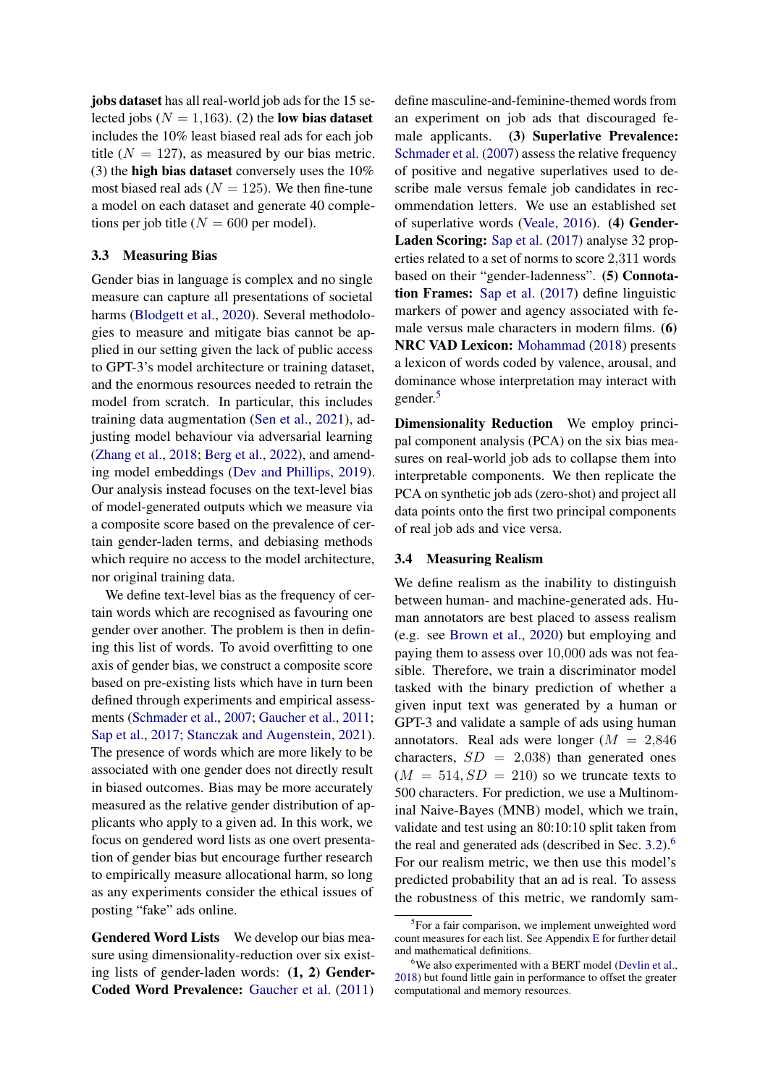jobs dataset has all real-world job ads for the 15 selected jobs ( $N = 1,163$ ). (2) the low bias dataset includes the 10% least biased real ads for each job title ( $N = 127$ ), as measured by our bias metric. (3) the high bias dataset conversely uses the  $10\%$ most biased real ads ( $N = 125$ ). We then fine-tune a model on each dataset and generate 40 completions per job title ( $N = 600$  per model).

#### <span id="page-3-0"></span>3.3 Measuring Bias

Gender bias in language is complex and no single measure can capture all presentations of societal harms [\(Blodgett et al.,](#page-6-3) [2020\)](#page-6-3). Several methodologies to measure and mitigate bias cannot be applied in our setting given the lack of public access to GPT-3's model architecture or training dataset, and the enormous resources needed to retrain the model from scratch. In particular, this includes training data augmentation [\(Sen et al.,](#page-7-16) [2021\)](#page-7-16), adjusting model behaviour via adversarial learning [\(Zhang et al.,](#page-8-5) [2018;](#page-8-5) [Berg et al.,](#page-6-7) [2022\)](#page-6-7), and amending model embeddings [\(Dev and Phillips,](#page-6-8) [2019\)](#page-6-8). Our analysis instead focuses on the text-level bias of model-generated outputs which we measure via a composite score based on the prevalence of certain gender-laden terms, and debiasing methods which require no access to the model architecture, nor original training data.

We define text-level bias as the frequency of certain words which are recognised as favouring one gender over another. The problem is then in defining this list of words. To avoid overfitting to one axis of gender bias, we construct a composite score based on pre-existing lists which have in turn been defined through experiments and empirical assessments [\(Schmader et al.,](#page-7-17) [2007;](#page-7-17) [Gaucher et al.,](#page-7-8) [2011;](#page-7-8) [Sap et al.,](#page-7-18) [2017;](#page-7-18) [Stanczak and Augenstein,](#page-8-6) [2021\)](#page-8-6). The presence of words which are more likely to be associated with one gender does not directly result in biased outcomes. Bias may be more accurately measured as the relative gender distribution of applicants who apply to a given ad. In this work, we focus on gendered word lists as one overt presentation of gender bias but encourage further research to empirically measure allocational harm, so long as any experiments consider the ethical issues of posting "fake" ads online.

Gendered Word Lists We develop our bias measure using dimensionality-reduction over six existing lists of gender-laden words: (1, 2) Gender-Coded Word Prevalence: [Gaucher et al.](#page-7-8) [\(2011\)](#page-7-8) define masculine-and-feminine-themed words from an experiment on job ads that discouraged female applicants. (3) Superlative Prevalence: [Schmader et al.](#page-7-17) [\(2007\)](#page-7-17) assess the relative frequency of positive and negative superlatives used to describe male versus female job candidates in recommendation letters. We use an established set of superlative words [\(Veale,](#page-8-7) [2016\)](#page-8-7). (4) Gender-Laden Scoring: [Sap et al.](#page-7-18) [\(2017\)](#page-7-18) analyse 32 properties related to a set of norms to score 2,311 words based on their "gender-ladenness". (5) Connotation Frames: [Sap et al.](#page-7-18) [\(2017\)](#page-7-18) define linguistic markers of power and agency associated with female versus male characters in modern films. (6) NRC VAD Lexicon: [Mohammad](#page-7-19) [\(2018\)](#page-7-19) presents a lexicon of words coded by valence, arousal, and dominance whose interpretation may interact with gender.<sup>[5](#page-3-2)</sup>

Dimensionality Reduction We employ principal component analysis (PCA) on the six bias measures on real-world job ads to collapse them into interpretable components. We then replicate the PCA on synthetic job ads (zero-shot) and project all data points onto the first two principal components of real job ads and vice versa.

#### <span id="page-3-1"></span>3.4 Measuring Realism

We define realism as the inability to distinguish between human- and machine-generated ads. Human annotators are best placed to assess realism (e.g. see [Brown et al.,](#page-6-4) [2020\)](#page-6-4) but employing and paying them to assess over 10,000 ads was not feasible. Therefore, we train a discriminator model tasked with the binary prediction of whether a given input text was generated by a human or GPT-3 and validate a sample of ads using human annotators. Real ads were longer  $(M = 2,846)$ characters,  $SD = 2,038$  than generated ones  $(M = 514, SD = 210)$  so we truncate texts to 500 characters. For prediction, we use a Multinominal Naive-Bayes (MNB) model, which we train, validate and test using an 80:10:10 split taken from the real and generated ads (described in Sec. [3.2\)](#page-2-3).[6](#page-3-3) For our realism metric, we then use this model's predicted probability that an ad is real. To assess the robustness of this metric, we randomly sam-

<span id="page-3-2"></span><sup>&</sup>lt;sup>5</sup>For a fair comparison, we implement unweighted word count measures for each list. See Appendix [E](#page-10-1) for further detail and mathematical definitions.

<span id="page-3-3"></span><sup>&</sup>lt;sup>6</sup>We also experimented with a BERT model [\(Devlin et al.,](#page-6-9) [2018\)](#page-6-9) but found little gain in performance to offset the greater computational and memory resources.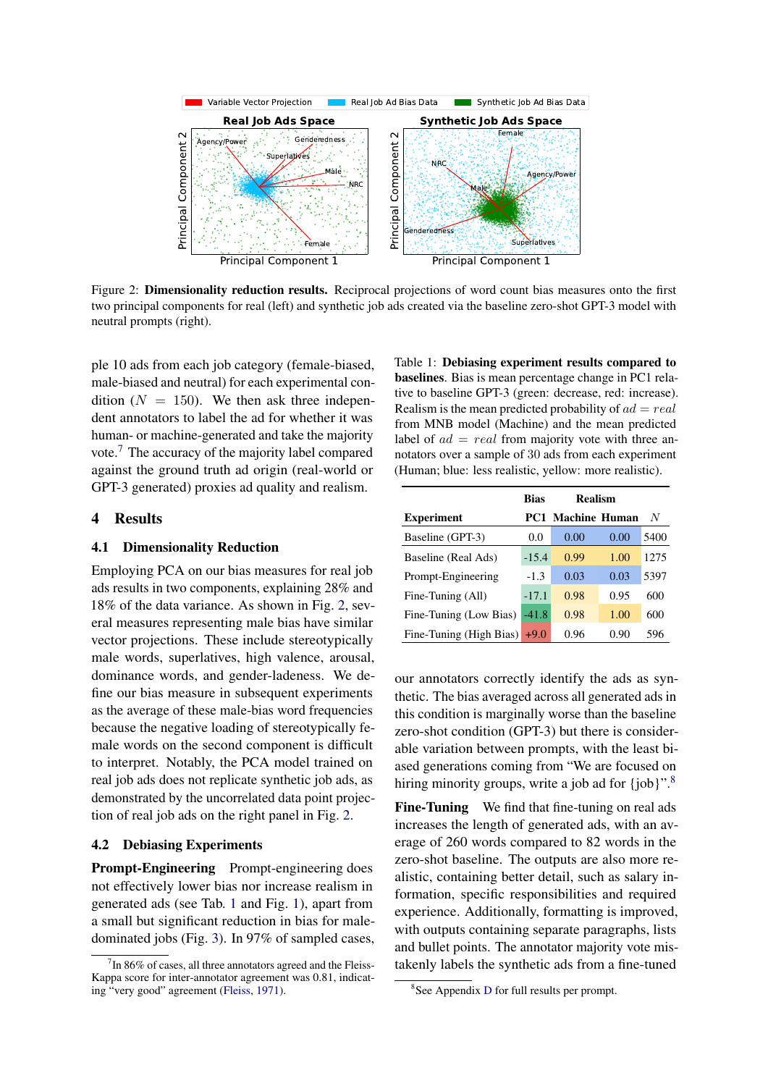<span id="page-4-2"></span>

Figure 2: Dimensionality reduction results. Reciprocal projections of word count bias measures onto the first two principal components for real (left) and synthetic job ads created via the baseline zero-shot GPT-3 model with neutral prompts (right).

ple 10 ads from each job category (female-biased, male-biased and neutral) for each experimental condition ( $N = 150$ ). We then ask three independent annotators to label the ad for whether it was human- or machine-generated and take the majority vote.[7](#page-4-1) The accuracy of the majority label compared against the ground truth ad origin (real-world or GPT-3 generated) proxies ad quality and realism.

### 4 Results

#### 4.1 Dimensionality Reduction

Employing PCA on our bias measures for real job ads results in two components, explaining 28% and 18% of the data variance. As shown in Fig. [2,](#page-4-2) several measures representing male bias have similar vector projections. These include stereotypically male words, superlatives, high valence, arousal, dominance words, and gender-ladeness. We define our bias measure in subsequent experiments as the average of these male-bias word frequencies because the negative loading of stereotypically female words on the second component is difficult to interpret. Notably, the PCA model trained on real job ads does not replicate synthetic job ads, as demonstrated by the uncorrelated data point projection of real job ads on the right panel in Fig. [2.](#page-4-2)

#### 4.2 Debiasing Experiments

Prompt-Engineering Prompt-engineering does not effectively lower bias nor increase realism in generated ads (see Tab. [1](#page-4-0) and Fig. [1\)](#page-0-0), apart from a small but significant reduction in bias for maledominated jobs (Fig. [3\)](#page-5-0). In 97% of sampled cases,

<span id="page-4-0"></span>Table 1: Debiasing experiment results compared to baselines. Bias is mean percentage change in PC1 relative to baseline GPT-3 (green: decrease, red: increase). Realism is the mean predicted probability of  $ad = real$ from MNB model (Machine) and the mean predicted label of  $ad = real$  from majority vote with three annotators over a sample of 30 ads from each experiment (Human; blue: less realistic, yellow: more realistic).

|                         | <b>Bias</b> | <b>Realism</b>           |      |      |
|-------------------------|-------------|--------------------------|------|------|
| <b>Experiment</b>       |             | <b>PC1 Machine Human</b> |      | N    |
| Baseline (GPT-3)        | 0.0         | 0.00                     | 0.00 | 5400 |
| Baseline (Real Ads)     | $-15.4$     | 0.99                     | 1.00 | 1275 |
| Prompt-Engineering      | $-1.3$      | 0.03                     | 0.03 | 5397 |
| Fine-Tuning (All)       | $-17.1$     | 0.98                     | 0.95 | 600  |
| Fine-Tuning (Low Bias)  | $-41.8$     | 0.98                     | 1.00 | 600  |
| Fine-Tuning (High Bias) | $+9.0$      | 0.96                     | 0.90 | 596  |

our annotators correctly identify the ads as synthetic. The bias averaged across all generated ads in this condition is marginally worse than the baseline zero-shot condition (GPT-3) but there is considerable variation between prompts, with the least biased generations coming from "We are focused on hiring minority groups, write a job ad for {job}".<sup>[8](#page-4-3)</sup>

Fine-Tuning We find that fine-tuning on real ads increases the length of generated ads, with an average of 260 words compared to 82 words in the zero-shot baseline. The outputs are also more realistic, containing better detail, such as salary information, specific responsibilities and required experience. Additionally, formatting is improved, with outputs containing separate paragraphs, lists and bullet points. The annotator majority vote mistakenly labels the synthetic ads from a fine-tuned

<span id="page-4-1"></span> $7$ In 86% of cases, all three annotators agreed and the Fleiss-Kappa score for inter-annotator agreement was 0.81, indicating "very good" agreement [\(Fleiss,](#page-7-20) [1971\)](#page-7-20).

<span id="page-4-3"></span><sup>8</sup> See Appendix [D](#page-10-0) for full results per prompt.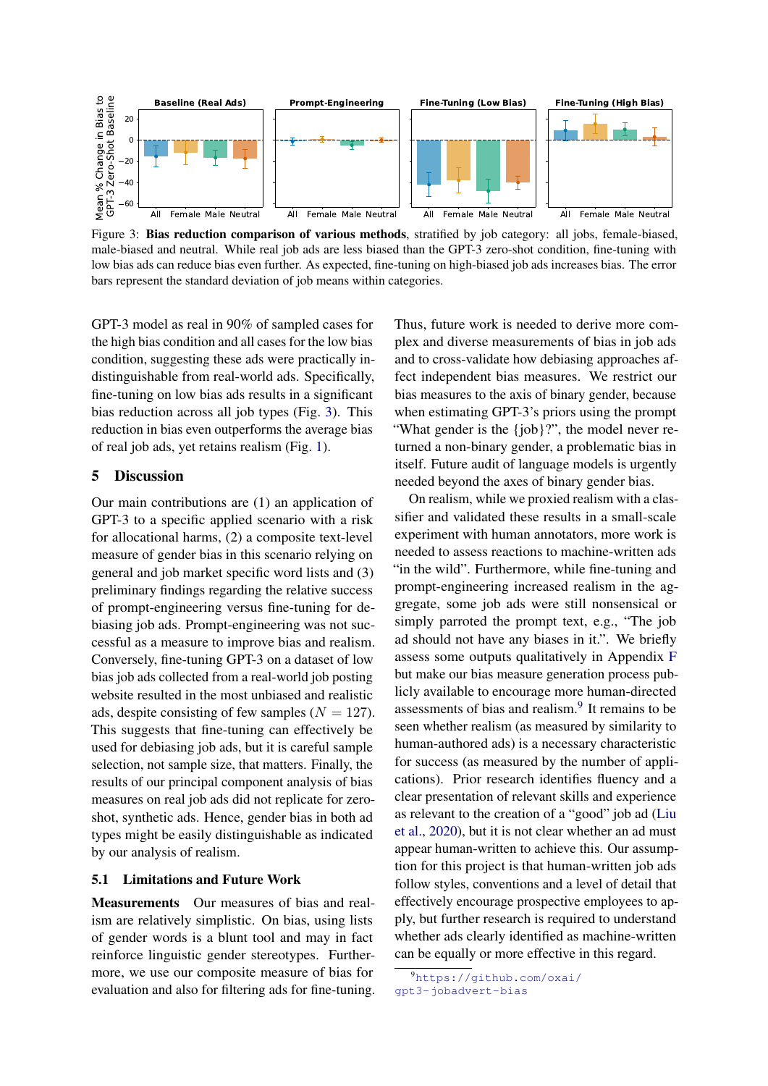<span id="page-5-0"></span>

Figure 3: Bias reduction comparison of various methods, stratified by job category: all jobs, female-biased, male-biased and neutral. While real job ads are less biased than the GPT-3 zero-shot condition, fine-tuning with low bias ads can reduce bias even further. As expected, fine-tuning on high-biased job ads increases bias. The error bars represent the standard deviation of job means within categories.

GPT-3 model as real in 90% of sampled cases for the high bias condition and all cases for the low bias condition, suggesting these ads were practically indistinguishable from real-world ads. Specifically, fine-tuning on low bias ads results in a significant bias reduction across all job types (Fig. [3\)](#page-5-0). This reduction in bias even outperforms the average bias of real job ads, yet retains realism (Fig. [1\)](#page-0-0).

## 5 Discussion

Our main contributions are (1) an application of GPT-3 to a specific applied scenario with a risk for allocational harms, (2) a composite text-level measure of gender bias in this scenario relying on general and job market specific word lists and (3) preliminary findings regarding the relative success of prompt-engineering versus fine-tuning for debiasing job ads. Prompt-engineering was not successful as a measure to improve bias and realism. Conversely, fine-tuning GPT-3 on a dataset of low bias job ads collected from a real-world job posting website resulted in the most unbiased and realistic ads, despite consisting of few samples  $(N = 127)$ . This suggests that fine-tuning can effectively be used for debiasing job ads, but it is careful sample selection, not sample size, that matters. Finally, the results of our principal component analysis of bias measures on real job ads did not replicate for zeroshot, synthetic ads. Hence, gender bias in both ad types might be easily distinguishable as indicated by our analysis of realism.

#### 5.1 Limitations and Future Work

Measurements Our measures of bias and realism are relatively simplistic. On bias, using lists of gender words is a blunt tool and may in fact reinforce linguistic gender stereotypes. Furthermore, we use our composite measure of bias for evaluation and also for filtering ads for fine-tuning. Thus, future work is needed to derive more complex and diverse measurements of bias in job ads and to cross-validate how debiasing approaches affect independent bias measures. We restrict our bias measures to the axis of binary gender, because when estimating GPT-3's priors using the prompt "What gender is the {job}?", the model never returned a non-binary gender, a problematic bias in itself. Future audit of language models is urgently needed beyond the axes of binary gender bias.

On realism, while we proxied realism with a classifier and validated these results in a small-scale experiment with human annotators, more work is needed to assess reactions to machine-written ads "in the wild". Furthermore, while fine-tuning and prompt-engineering increased realism in the aggregate, some job ads were still nonsensical or simply parroted the prompt text, e.g., "The job ad should not have any biases in it.". We briefly assess some outputs qualitatively in Appendix [F](#page-11-0) but make our bias measure generation process publicly available to encourage more human-directed assessments of bias and realism.<sup>[9](#page-5-1)</sup> It remains to be seen whether realism (as measured by similarity to human-authored ads) is a necessary characteristic for success (as measured by the number of applications). Prior research identifies fluency and a clear presentation of relevant skills and experience as relevant to the creation of a "good" job ad [\(Liu](#page-7-21) [et al.,](#page-7-21) [2020\)](#page-7-21), but it is not clear whether an ad must appear human-written to achieve this. Our assumption for this project is that human-written job ads follow styles, conventions and a level of detail that effectively encourage prospective employees to apply, but further research is required to understand whether ads clearly identified as machine-written can be equally or more effective in this regard.

<span id="page-5-1"></span><sup>9</sup>[https://github.com/oxai/](https://github.com/oxai/gpt3-jobadvert-bias) [gpt3-jobadvert-bias](https://github.com/oxai/gpt3-jobadvert-bias)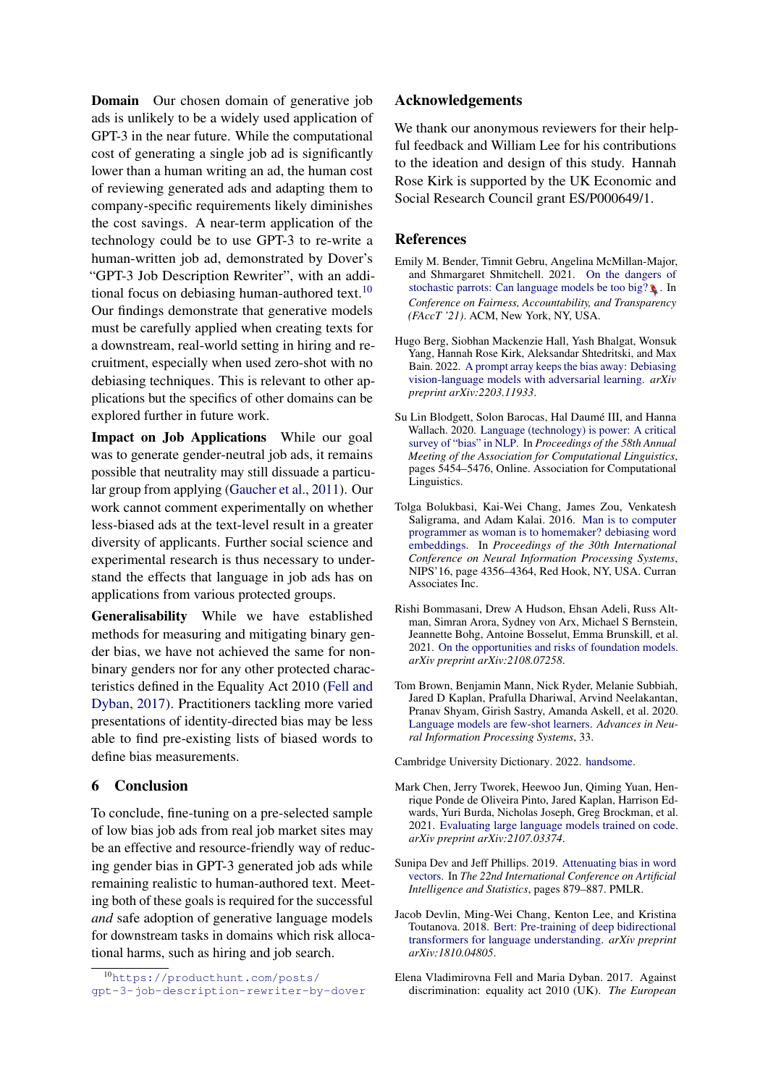**Domain** Our chosen domain of generative job ads is unlikely to be a widely used application of GPT-3 in the near future. While the computational cost of generating a single job ad is significantly lower than a human writing an ad, the human cost of reviewing generated ads and adapting them to company-specific requirements likely diminishes the cost savings. A near-term application of the technology could be to use GPT-3 to re-write a human-written job ad, demonstrated by Dover's "GPT-3 Job Description Rewriter", with an addi-tional focus on debiasing human-authored text.<sup>[10](#page-6-10)</sup> Our findings demonstrate that generative models must be carefully applied when creating texts for a downstream, real-world setting in hiring and recruitment, especially when used zero-shot with no debiasing techniques. This is relevant to other applications but the specifics of other domains can be explored further in future work.

Impact on Job Applications While our goal was to generate gender-neutral job ads, it remains possible that neutrality may still dissuade a particular group from applying [\(Gaucher et al.,](#page-7-8) [2011\)](#page-7-8). Our work cannot comment experimentally on whether less-biased ads at the text-level result in a greater diversity of applicants. Further social science and experimental research is thus necessary to understand the effects that language in job ads has on applications from various protected groups.

Generalisability While we have established methods for measuring and mitigating binary gender bias, we have not achieved the same for nonbinary genders nor for any other protected characteristics defined in the Equality Act 2010 [\(Fell and](#page-6-11) [Dyban,](#page-6-11) [2017\)](#page-6-11). Practitioners tackling more varied presentations of identity-directed bias may be less able to find pre-existing lists of biased words to define bias measurements.

### 6 Conclusion

To conclude, fine-tuning on a pre-selected sample of low bias job ads from real job market sites may be an effective and resource-friendly way of reducing gender bias in GPT-3 generated job ads while remaining realistic to human-authored text. Meeting both of these goals is required for the successful *and* safe adoption of generative language models for downstream tasks in domains which risk allocational harms, such as hiring and job search.

#### Acknowledgements

We thank our anonymous reviewers for their helpful feedback and William Lee for his contributions to the ideation and design of this study. Hannah Rose Kirk is supported by the UK Economic and Social Research Council grant ES/P000649/1.

#### References

- <span id="page-6-1"></span>Emily M. Bender, Timnit Gebru, Angelina McMillan-Major, and Shmargaret Shmitchell. 2021. [On the dangers of](https://doi.org/10.1145/3442188.3445922) [stochastic parrots: Can language models be too big?](https://doi.org/10.1145/3442188.3445922)  $\Box$  In *Conference on Fairness, Accountability, and Transparency (FAccT '21)*. ACM, New York, NY, USA.
- <span id="page-6-7"></span>Hugo Berg, Siobhan Mackenzie Hall, Yash Bhalgat, Wonsuk Yang, Hannah Rose Kirk, Aleksandar Shtedritski, and Max Bain. 2022. [A prompt array keeps the bias away: Debiasing](https://arxiv.org/abs/2203.11933) [vision-language models with adversarial learning.](https://arxiv.org/abs/2203.11933) *arXiv preprint arXiv:2203.11933*.
- <span id="page-6-3"></span>Su Lin Blodgett, Solon Barocas, Hal Daumé III, and Hanna Wallach. 2020. [Language \(technology\) is power: A critical](https://doi.org/10.18653/v1/2020.acl-main.485) [survey of "bias" in NLP.](https://doi.org/10.18653/v1/2020.acl-main.485) In *Proceedings of the 58th Annual Meeting of the Association for Computational Linguistics*, pages 5454–5476, Online. Association for Computational Linguistics.
- <span id="page-6-5"></span>Tolga Bolukbasi, Kai-Wei Chang, James Zou, Venkatesh Saligrama, and Adam Kalai. 2016. [Man is to computer](https://arxiv.org/abs/1607.06520) [programmer as woman is to homemaker? debiasing word](https://arxiv.org/abs/1607.06520) [embeddings.](https://arxiv.org/abs/1607.06520) In *Proceedings of the 30th International Conference on Neural Information Processing Systems*, NIPS'16, page 4356–4364, Red Hook, NY, USA. Curran Associates Inc.
- <span id="page-6-2"></span>Rishi Bommasani, Drew A Hudson, Ehsan Adeli, Russ Altman, Simran Arora, Sydney von Arx, Michael S Bernstein, Jeannette Bohg, Antoine Bosselut, Emma Brunskill, et al. 2021. [On the opportunities and risks of foundation models.](https://arxiv.org/abs/2108.07258) *arXiv preprint arXiv:2108.07258*.
- <span id="page-6-4"></span>Tom Brown, Benjamin Mann, Nick Ryder, Melanie Subbiah, Jared D Kaplan, Prafulla Dhariwal, Arvind Neelakantan, Pranav Shyam, Girish Sastry, Amanda Askell, et al. 2020. [Language models are few-shot learners.](https://arxiv.org/abs/2005.14165) *Advances in Neural Information Processing Systems*, 33.

<span id="page-6-6"></span>Cambridge University Dictionary. 2022. [handsome.](https://dictionary.cambridge.org/dictionary/english/handsome)

- <span id="page-6-0"></span>Mark Chen, Jerry Tworek, Heewoo Jun, Qiming Yuan, Henrique Ponde de Oliveira Pinto, Jared Kaplan, Harrison Edwards, Yuri Burda, Nicholas Joseph, Greg Brockman, et al. 2021. [Evaluating large language models trained on code.](http://arxiv.org/abs/2107.03374) *arXiv preprint arXiv:2107.03374*.
- <span id="page-6-8"></span>Sunipa Dev and Jeff Phillips. 2019. [Attenuating bias in word](http://proceedings.mlr.press/v89/dev19a.html) [vectors.](http://proceedings.mlr.press/v89/dev19a.html) In *The 22nd International Conference on Artificial Intelligence and Statistics*, pages 879–887. PMLR.
- <span id="page-6-9"></span>Jacob Devlin, Ming-Wei Chang, Kenton Lee, and Kristina Toutanova. 2018. [Bert: Pre-training of deep bidirectional](http://arxiv.org/abs/1810.04805) [transformers for language understanding.](http://arxiv.org/abs/1810.04805) *arXiv preprint arXiv:1810.04805*.
- <span id="page-6-11"></span>Elena Vladimirovna Fell and Maria Dyban. 2017. Against discrimination: equality act 2010 (UK). *The European*

<span id="page-6-10"></span><sup>10</sup>[https://producthunt.com/posts/](https://producthunt.com/posts/gpt-3-job-description-rewriter-by-dover) [gpt-3-job-description-rewriter-by-dover](https://producthunt.com/posts/gpt-3-job-description-rewriter-by-dover)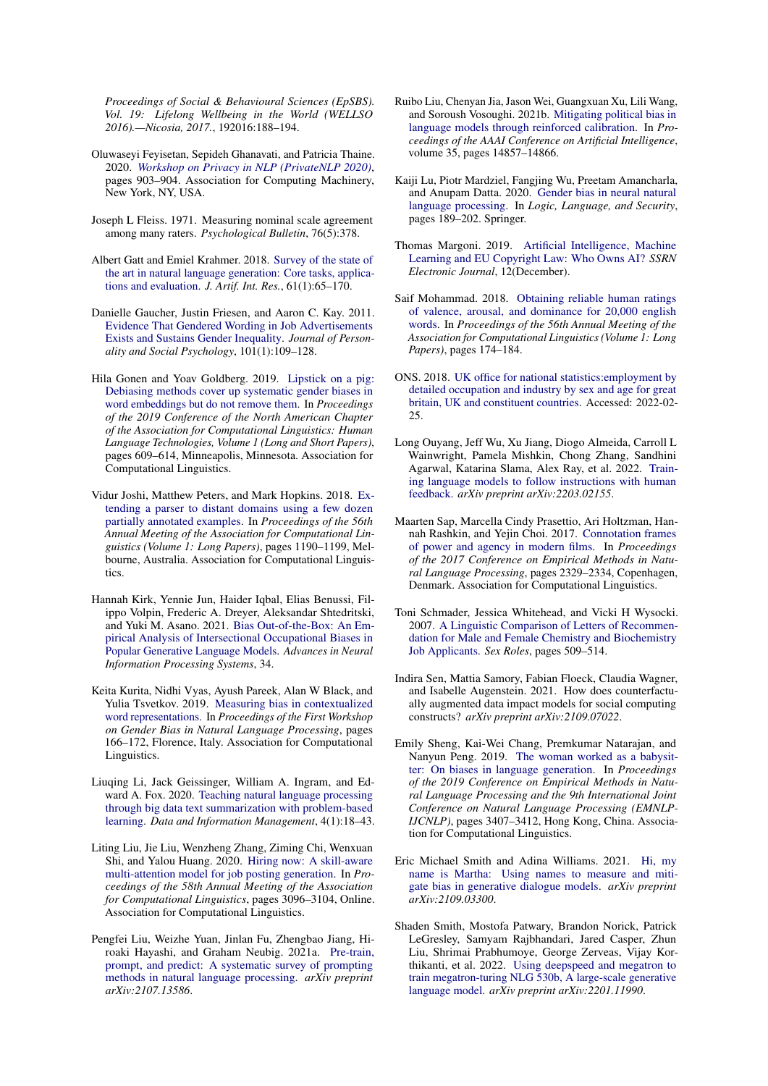*Proceedings of Social & Behavioural Sciences (EpSBS). Vol. 19: Lifelong Wellbeing in the World (WELLSO 2016).—Nicosia, 2017.*, 192016:188–194.

- <span id="page-7-5"></span>Oluwaseyi Feyisetan, Sepideh Ghanavati, and Patricia Thaine. 2020. *[Workshop on Privacy in NLP \(PrivateNLP 2020\)](https://doi.org/10.1145/3336191.3371881)*, pages 903–904. Association for Computing Machinery, New York, NY, USA.
- <span id="page-7-20"></span>Joseph L Fleiss. 1971. Measuring nominal scale agreement among many raters. *Psychological Bulletin*, 76(5):378.
- <span id="page-7-3"></span>Albert Gatt and Emiel Krahmer. 2018. [Survey of the state of](https://dl.acm.org/doi/10.5555/3241691.3241693) [the art in natural language generation: Core tasks, applica](https://dl.acm.org/doi/10.5555/3241691.3241693)[tions and evaluation.](https://dl.acm.org/doi/10.5555/3241691.3241693) *J. Artif. Int. Res.*, 61(1):65–170.
- <span id="page-7-8"></span>Danielle Gaucher, Justin Friesen, and Aaron C. Kay. 2011. [Evidence That Gendered Wording in Job Advertisements](https://doi.org/10.1037/a0022530) [Exists and Sustains Gender Inequality.](https://doi.org/10.1037/a0022530) *Journal of Personality and Social Psychology*, 101(1):109–128.
- <span id="page-7-11"></span>Hila Gonen and Yoav Goldberg. 2019. [Lipstick on a pig:](https://doi.org/10.18653/v1/N19-1061) [Debiasing methods cover up systematic gender biases in](https://doi.org/10.18653/v1/N19-1061) [word embeddings but do not remove them.](https://doi.org/10.18653/v1/N19-1061) In *Proceedings of the 2019 Conference of the North American Chapter of the Association for Computational Linguistics: Human Language Technologies, Volume 1 (Long and Short Papers)*, pages 609–614, Minneapolis, Minnesota. Association for Computational Linguistics.
- <span id="page-7-0"></span>Vidur Joshi, Matthew Peters, and Mark Hopkins. 2018. [Ex](https://doi.org/10.18653/v1/P18-1110)[tending a parser to distant domains using a few dozen](https://doi.org/10.18653/v1/P18-1110) [partially annotated examples.](https://doi.org/10.18653/v1/P18-1110) In *Proceedings of the 56th Annual Meeting of the Association for Computational Linguistics (Volume 1: Long Papers)*, pages 1190–1199, Melbourne, Australia. Association for Computational Linguistics.
- <span id="page-7-7"></span>Hannah Kirk, Yennie Jun, Haider Iqbal, Elias Benussi, Filippo Volpin, Frederic A. Dreyer, Aleksandar Shtedritski, and Yuki M. Asano. 2021. [Bias Out-of-the-Box: An Em](http://arxiv.org/abs/2102.04130)[pirical Analysis of Intersectional Occupational Biases in](http://arxiv.org/abs/2102.04130) [Popular Generative Language Models.](http://arxiv.org/abs/2102.04130) *Advances in Neural Information Processing Systems*, 34.
- <span id="page-7-10"></span>Keita Kurita, Nidhi Vyas, Ayush Pareek, Alan W Black, and Yulia Tsvetkov. 2019. [Measuring bias in contextualized](https://doi.org/10.18653/v1/W19-3823) [word representations.](https://doi.org/10.18653/v1/W19-3823) In *Proceedings of the First Workshop on Gender Bias in Natural Language Processing*, pages 166–172, Florence, Italy. Association for Computational Linguistics.
- <span id="page-7-2"></span>Liuqing Li, Jack Geissinger, William A. Ingram, and Edward A. Fox. 2020. [Teaching natural language processing](https://doi.org/doi:10.2478/dim-2020-0003) [through big data text summarization with problem-based](https://doi.org/doi:10.2478/dim-2020-0003) [learning.](https://doi.org/doi:10.2478/dim-2020-0003) *Data and Information Management*, 4(1):18–43.
- <span id="page-7-21"></span>Liting Liu, Jie Liu, Wenzheng Zhang, Ziming Chi, Wenxuan Shi, and Yalou Huang. 2020. [Hiring now: A skill-aware](https://doi.org/10.18653/v1/2020.acl-main.281) [multi-attention model for job posting generation.](https://doi.org/10.18653/v1/2020.acl-main.281) In *Proceedings of the 58th Annual Meeting of the Association for Computational Linguistics*, pages 3096–3104, Online. Association for Computational Linguistics.
- <span id="page-7-22"></span>Pengfei Liu, Weizhe Yuan, Jinlan Fu, Zhengbao Jiang, Hiroaki Hayashi, and Graham Neubig. 2021a. [Pre-train,](http://arxiv.org/abs/2107.13586) [prompt, and predict: A systematic survey of prompting](http://arxiv.org/abs/2107.13586) [methods in natural language processing.](http://arxiv.org/abs/2107.13586) *arXiv preprint arXiv:2107.13586*.
- <span id="page-7-12"></span>Ruibo Liu, Chenyan Jia, Jason Wei, Guangxuan Xu, Lili Wang, and Soroush Vosoughi. 2021b. [Mitigating political bias in](https://arxiv.org/abs/2104.14795) [language models through reinforced calibration.](https://arxiv.org/abs/2104.14795) In *Proceedings of the AAAI Conference on Artificial Intelligence*, volume 35, pages 14857–14866.
- <span id="page-7-9"></span>Kaiji Lu, Piotr Mardziel, Fangjing Wu, Preetam Amancharla, and Anupam Datta. 2020. [Gender bias in neural natural](http://arxiv.org/abs/1807.11714) [language processing.](http://arxiv.org/abs/1807.11714) In *Logic, Language, and Security*, pages 189–202. Springer.
- <span id="page-7-4"></span>Thomas Margoni. 2019. [Artificial Intelligence, Machine](https://doi.org/10.2139/ssrn.3299523) [Learning and EU Copyright Law: Who Owns AI?](https://doi.org/10.2139/ssrn.3299523) *SSRN Electronic Journal*, 12(December).
- <span id="page-7-19"></span>Saif Mohammad. 2018. [Obtaining reliable human ratings](https://aclanthology.org/P18-1017) [of valence, arousal, and dominance for 20,000 english](https://aclanthology.org/P18-1017) [words.](https://aclanthology.org/P18-1017) In *Proceedings of the 56th Annual Meeting of the Association for Computational Linguistics (Volume 1: Long Papers)*, pages 174–184.
- <span id="page-7-15"></span>ONS. 2018. [UK office for national statistics:employment by](https://www.ons.gov.uk/employmentandlabourmarket/peopleinwork/employmentandemployeetypes/adhocs/008439employmntbydetailedoccupationandindustrybysexandageforgreatbritainukandconstituentcountries) [detailed occupation and industry by sex and age for great](https://www.ons.gov.uk/employmentandlabourmarket/peopleinwork/employmentandemployeetypes/adhocs/008439employmntbydetailedoccupationandindustrybysexandageforgreatbritainukandconstituentcountries) [britain, UK and constituent countries.](https://www.ons.gov.uk/employmentandlabourmarket/peopleinwork/employmentandemployeetypes/adhocs/008439employmntbydetailedoccupationandindustrybysexandageforgreatbritainukandconstituentcountries) Accessed: 2022-02- 25.
- <span id="page-7-14"></span>Long Ouyang, Jeff Wu, Xu Jiang, Diogo Almeida, Carroll L Wainwright, Pamela Mishkin, Chong Zhang, Sandhini Agarwal, Katarina Slama, Alex Ray, et al. 2022. [Train](https://arxiv.org/abs/2203.02155)[ing language models to follow instructions with human](https://arxiv.org/abs/2203.02155) [feedback.](https://arxiv.org/abs/2203.02155) *arXiv preprint arXiv:2203.02155*.
- <span id="page-7-18"></span>Maarten Sap, Marcella Cindy Prasettio, Ari Holtzman, Hannah Rashkin, and Yejin Choi. 2017. [Connotation frames](https://doi.org/10.18653/v1/D17-1247) [of power and agency in modern films.](https://doi.org/10.18653/v1/D17-1247) In *Proceedings of the 2017 Conference on Empirical Methods in Natural Language Processing*, pages 2329–2334, Copenhagen, Denmark. Association for Computational Linguistics.
- <span id="page-7-17"></span>Toni Schmader, Jessica Whitehead, and Vicki H Wysocki. 2007. [A Linguistic Comparison of Letters of Recommen](https://doi.org/10.1007/s11199-007-9291-4)[dation for Male and Female Chemistry and Biochemistry](https://doi.org/10.1007/s11199-007-9291-4) [Job Applicants.](https://doi.org/10.1007/s11199-007-9291-4) *Sex Roles*, pages 509–514.
- <span id="page-7-16"></span>Indira Sen, Mattia Samory, Fabian Floeck, Claudia Wagner, and Isabelle Augenstein. 2021. How does counterfactually augmented data impact models for social computing constructs? *arXiv preprint arXiv:2109.07022*.
- <span id="page-7-6"></span>Emily Sheng, Kai-Wei Chang, Premkumar Natarajan, and Nanyun Peng. 2019. [The woman worked as a babysit](https://doi.org/10.18653/v1/D19-1339)[ter: On biases in language generation.](https://doi.org/10.18653/v1/D19-1339) In *Proceedings of the 2019 Conference on Empirical Methods in Natural Language Processing and the 9th International Joint Conference on Natural Language Processing (EMNLP-IJCNLP)*, pages 3407–3412, Hong Kong, China. Association for Computational Linguistics.
- <span id="page-7-13"></span>Eric Michael Smith and Adina Williams. 2021. [Hi, my](http://arxiv.org/abs/2109.03300) [name is Martha: Using names to measure and miti](http://arxiv.org/abs/2109.03300)[gate bias in generative dialogue models.](http://arxiv.org/abs/2109.03300) *arXiv preprint arXiv:2109.03300*.
- <span id="page-7-1"></span>Shaden Smith, Mostofa Patwary, Brandon Norick, Patrick LeGresley, Samyam Rajbhandari, Jared Casper, Zhun Liu, Shrimai Prabhumoye, George Zerveas, Vijay Korthikanti, et al. 2022. [Using deepspeed and megatron to](http://arxiv.org/abs/2201.11990) [train megatron-turing NLG 530b, A large-scale generative](http://arxiv.org/abs/2201.11990) [language model.](http://arxiv.org/abs/2201.11990) *arXiv preprint arXiv:2201.11990*.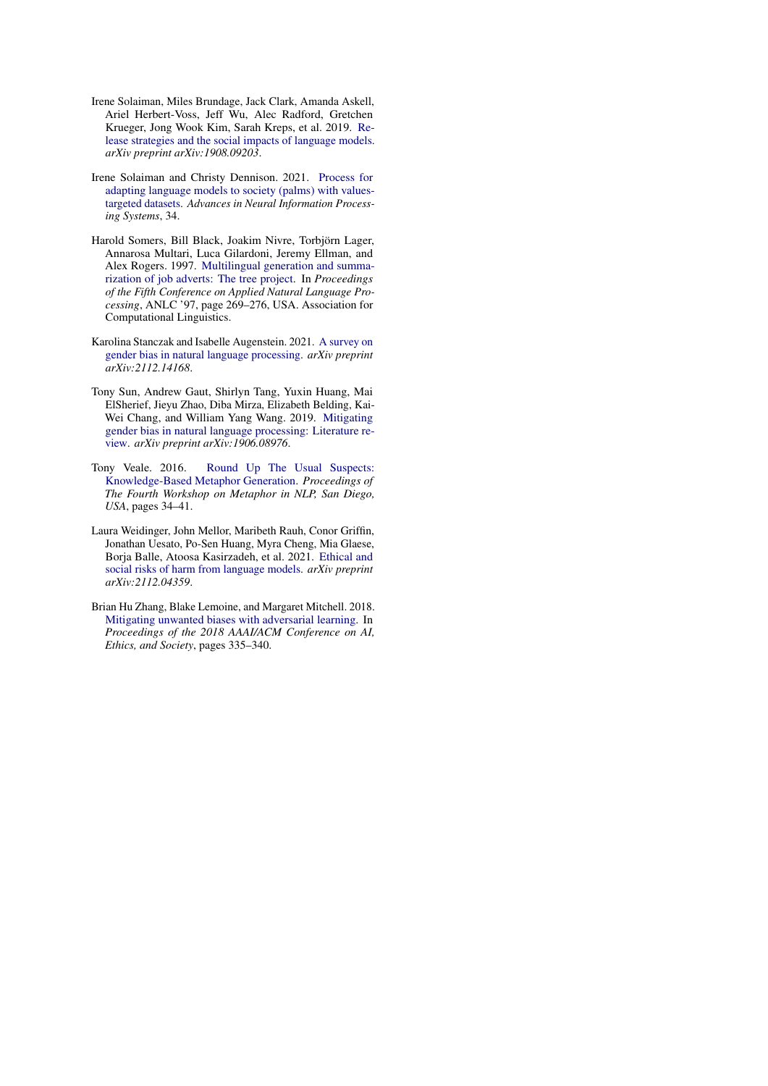- <span id="page-8-3"></span>Irene Solaiman, Miles Brundage, Jack Clark, Amanda Askell, Ariel Herbert-Voss, Jeff Wu, Alec Radford, Gretchen Krueger, Jong Wook Kim, Sarah Kreps, et al. 2019. [Re](http://arxiv.org/abs/1908.09203)[lease strategies and the social impacts of language models.](http://arxiv.org/abs/1908.09203) *arXiv preprint arXiv:1908.09203*.
- <span id="page-8-4"></span>Irene Solaiman and Christy Dennison. 2021. [Process for](https://proceedings.neurips.cc/paper/2021/hash/2e855f9489df0712b4bd8ea9e2848c5a-Abstract.html) [adapting language models to society \(palms\) with values](https://proceedings.neurips.cc/paper/2021/hash/2e855f9489df0712b4bd8ea9e2848c5a-Abstract.html)[targeted datasets.](https://proceedings.neurips.cc/paper/2021/hash/2e855f9489df0712b4bd8ea9e2848c5a-Abstract.html) *Advances in Neural Information Processing Systems*, 34.
- <span id="page-8-1"></span>Harold Somers, Bill Black, Joakim Nivre, Torbjörn Lager, Annarosa Multari, Luca Gilardoni, Jeremy Ellman, and Alex Rogers. 1997. [Multilingual generation and summa](https://doi.org/10.3115/974557.974597)[rization of job adverts: The tree project.](https://doi.org/10.3115/974557.974597) In *Proceedings of the Fifth Conference on Applied Natural Language Processing*, ANLC '97, page 269–276, USA. Association for Computational Linguistics.
- <span id="page-8-6"></span>Karolina Stanczak and Isabelle Augenstein. 2021. [A survey on](http://arxiv.org/abs/2112.14168) [gender bias in natural language processing.](http://arxiv.org/abs/2112.14168) *arXiv preprint arXiv:2112.14168*.
- <span id="page-8-2"></span>Tony Sun, Andrew Gaut, Shirlyn Tang, Yuxin Huang, Mai ElSherief, Jieyu Zhao, Diba Mirza, Elizabeth Belding, Kai-Wei Chang, and William Yang Wang. 2019. [Mitigating](http://arxiv.org/abs/1906.08976) [gender bias in natural language processing: Literature re](http://arxiv.org/abs/1906.08976)[view.](http://arxiv.org/abs/1906.08976) *arXiv preprint arXiv:1906.08976*.
- <span id="page-8-7"></span>Tony Veale. 2016. [Round Up The Usual Suspects:](https://doi.org/10.1350/jcla.2009.73.2.552) [Knowledge-Based Metaphor Generation.](https://doi.org/10.1350/jcla.2009.73.2.552) *Proceedings of The Fourth Workshop on Metaphor in NLP, San Diego, USA*, pages 34–41.
- <span id="page-8-0"></span>Laura Weidinger, John Mellor, Maribeth Rauh, Conor Griffin, Jonathan Uesato, Po-Sen Huang, Myra Cheng, Mia Glaese, Borja Balle, Atoosa Kasirzadeh, et al. 2021. [Ethical and](http://arxiv.org/abs/2112.04359) [social risks of harm from language models.](http://arxiv.org/abs/2112.04359) *arXiv preprint arXiv:2112.04359*.
- <span id="page-8-5"></span>Brian Hu Zhang, Blake Lemoine, and Margaret Mitchell. 2018. [Mitigating unwanted biases with adversarial learning.](https://dl.acm.org/doi/abs/10.1145/3278721.3278779) In *Proceedings of the 2018 AAAI/ACM Conference on AI, Ethics, and Society*, pages 335–340.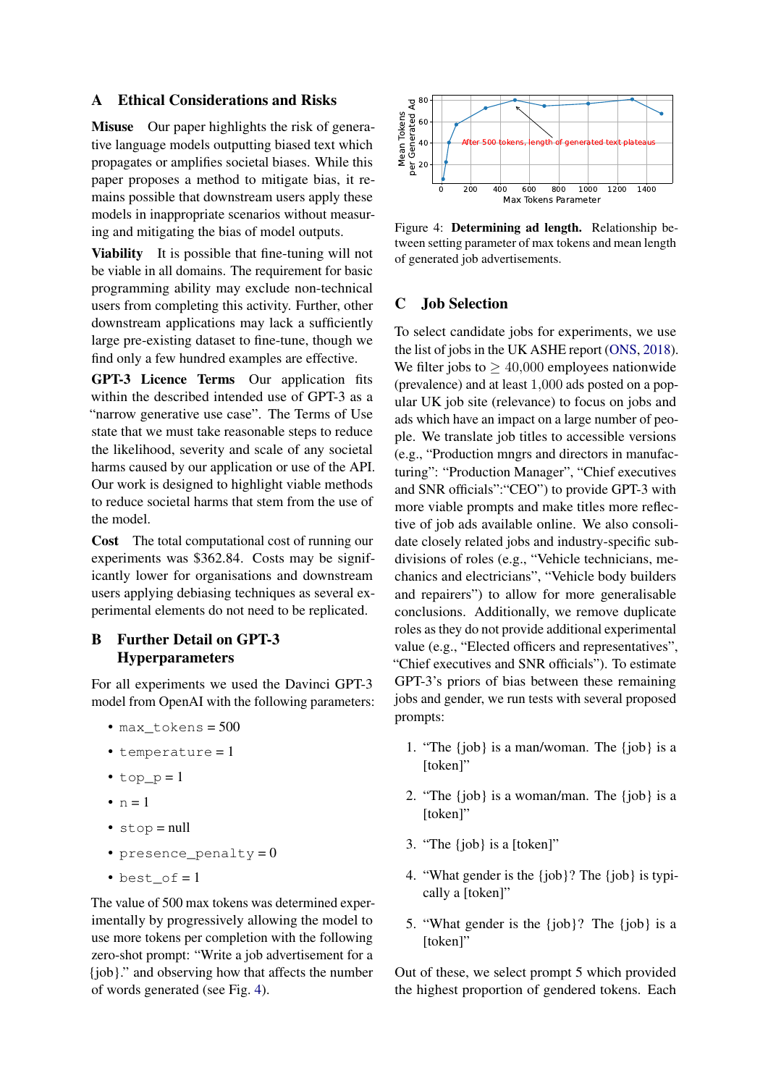### A Ethical Considerations and Risks

Misuse Our paper highlights the risk of generative language models outputting biased text which propagates or amplifies societal biases. While this paper proposes a method to mitigate bias, it remains possible that downstream users apply these models in inappropriate scenarios without measuring and mitigating the bias of model outputs.

Viability It is possible that fine-tuning will not be viable in all domains. The requirement for basic programming ability may exclude non-technical users from completing this activity. Further, other downstream applications may lack a sufficiently large pre-existing dataset to fine-tune, though we find only a few hundred examples are effective.

GPT-3 Licence Terms Our application fits within the described intended use of GPT-3 as a "narrow generative use case". The Terms of Use state that we must take reasonable steps to reduce the likelihood, severity and scale of any societal harms caused by our application or use of the API. Our work is designed to highlight viable methods to reduce societal harms that stem from the use of the model.

Cost The total computational cost of running our experiments was \$362.84. Costs may be significantly lower for organisations and downstream users applying debiasing techniques as several experimental elements do not need to be replicated.

## <span id="page-9-1"></span>B Further Detail on GPT-3 Hyperparameters

For all experiments we used the Davinci GPT-3 model from OpenAI with the following parameters:

- max\_tokens = 500
- temperature = 1
- top  $p = 1$
- $\bullet$  n = 1
- stop = null
- presence\_penalty =  $0$
- $best_of = 1$

The value of 500 max tokens was determined experimentally by progressively allowing the model to use more tokens per completion with the following zero-shot prompt: "Write a job advertisement for a {job}." and observing how that affects the number of words generated (see Fig. [4\)](#page-9-2).

<span id="page-9-2"></span>

Figure 4: Determining ad length. Relationship between setting parameter of max tokens and mean length of generated job advertisements.

### <span id="page-9-0"></span>C Job Selection

To select candidate jobs for experiments, we use the list of jobs in the UK ASHE report [\(ONS,](#page-7-15) [2018\)](#page-7-15). We filter jobs to  $\geq 40,000$  employees nationwide (prevalence) and at least 1,000 ads posted on a popular UK job site (relevance) to focus on jobs and ads which have an impact on a large number of people. We translate job titles to accessible versions (e.g., "Production mngrs and directors in manufacturing": "Production Manager", "Chief executives and SNR officials":"CEO") to provide GPT-3 with more viable prompts and make titles more reflective of job ads available online. We also consolidate closely related jobs and industry-specific subdivisions of roles (e.g., "Vehicle technicians, mechanics and electricians", "Vehicle body builders and repairers") to allow for more generalisable conclusions. Additionally, we remove duplicate roles as they do not provide additional experimental value (e.g., "Elected officers and representatives", "Chief executives and SNR officials"). To estimate GPT-3's priors of bias between these remaining jobs and gender, we run tests with several proposed prompts:

- 1. "The {job} is a man/woman. The {job} is a [token]"
- 2. "The {job} is a woman/man. The {job} is a [token]"
- 3. "The {job} is a [token]"
- 4. "What gender is the {job}? The {job} is typically a [token]"
- 5. "What gender is the {job}? The {job} is a [token]"

Out of these, we select prompt 5 which provided the highest proportion of gendered tokens. Each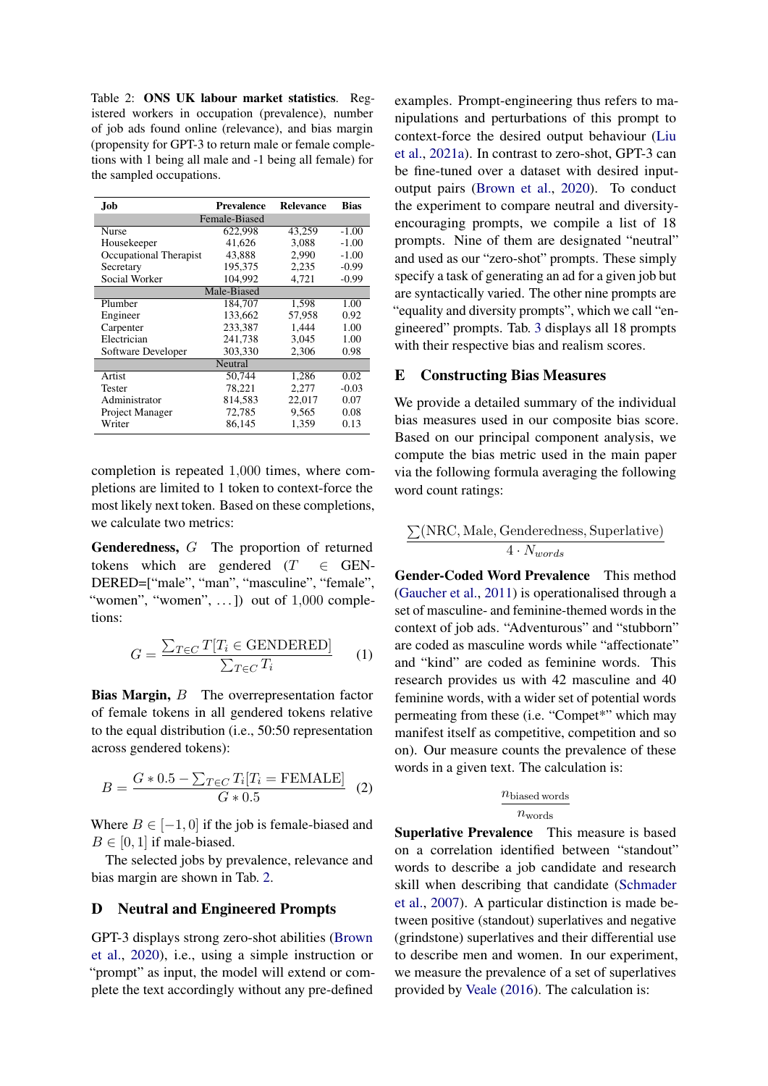<span id="page-10-2"></span>Table 2: ONS UK labour market statistics. Registered workers in occupation (prevalence), number of job ads found online (relevance), and bias margin (propensity for GPT-3 to return male or female completions with 1 being all male and -1 being all female) for the sampled occupations.

| .Job                   | <b>Prevalence</b> | <b>Relevance</b> | <b>Bias</b> |  |  |
|------------------------|-------------------|------------------|-------------|--|--|
| Female-Biased          |                   |                  |             |  |  |
| <b>Nurse</b>           | 622,998           | 43.259           | $-1.00$     |  |  |
| Housekeeper            | 41,626            | 3,088            | $-1.00$     |  |  |
| Occupational Therapist | 43.888            | 2,990            | $-1.00$     |  |  |
| Secretary              | 195,375           | 2,235            | $-0.99$     |  |  |
| Social Worker          | 104.992           | 4,721            | $-0.99$     |  |  |
| Male-Biased            |                   |                  |             |  |  |
| Plumber                | 184,707           | 1,598            | 1.00        |  |  |
| Engineer               | 133,662           | 57,958           | 0.92        |  |  |
| Carpenter              | 233,387           | 1,444            | 1.00        |  |  |
| Electrician            | 241.738           | 3.045            | 1.00        |  |  |
| Software Developer     | 303,330           | 2,306            | 0.98        |  |  |
| Neutral                |                   |                  |             |  |  |
| Artist                 | 50.744            | 1,286            | 0.02        |  |  |
| <b>Tester</b>          | 78.221            | 2,277            | $-0.03$     |  |  |
| Administrator          | 814,583           | 22,017           | 0.07        |  |  |
| Project Manager        | 72,785            | 9,565            | 0.08        |  |  |
| Writer                 | 86,145            | 1,359            | 0.13        |  |  |

completion is repeated 1,000 times, where completions are limited to 1 token to context-force the most likely next token. Based on these completions, we calculate two metrics:

Genderedness, G The proportion of returned tokens which are gendered ( $T \in$  GEN-DERED=["male", "man", "masculine", "female", "women", "women",  $\dots$ ]) out of  $1,000$  completions:

$$
G = \frac{\sum_{T \in C} T[T_i \in \text{GENDERED}]}{\sum_{T \in C} T_i} \qquad (1)
$$

**Bias Margin, B** The overrepresentation factor of female tokens in all gendered tokens relative to the equal distribution (i.e., 50:50 representation across gendered tokens):

$$
B = \frac{G * 0.5 - \sum_{T \in C} T_i [T_i = \text{FEMALE}]}{G * 0.5}
$$
 (2)

Where  $B \in [-1, 0]$  if the job is female-biased and  $B \in [0, 1]$  if male-biased.

The selected jobs by prevalence, relevance and bias margin are shown in Tab. [2.](#page-10-2)

#### <span id="page-10-0"></span>D Neutral and Engineered Prompts

GPT-3 displays strong zero-shot abilities [\(Brown](#page-6-4) [et al.,](#page-6-4) [2020\)](#page-6-4), i.e., using a simple instruction or "prompt" as input, the model will extend or complete the text accordingly without any pre-defined examples. Prompt-engineering thus refers to manipulations and perturbations of this prompt to context-force the desired output behaviour [\(Liu](#page-7-22) [et al.,](#page-7-22) [2021a\)](#page-7-22). In contrast to zero-shot, GPT-3 can be fine-tuned over a dataset with desired inputoutput pairs [\(Brown et al.,](#page-6-4) [2020\)](#page-6-4). To conduct the experiment to compare neutral and diversityencouraging prompts, we compile a list of 18 prompts. Nine of them are designated "neutral" and used as our "zero-shot" prompts. These simply specify a task of generating an ad for a given job but are syntactically varied. The other nine prompts are "equality and diversity prompts", which we call "engineered" prompts. Tab. [3](#page-11-1) displays all 18 prompts with their respective bias and realism scores.

#### <span id="page-10-1"></span>E Constructing Bias Measures

We provide a detailed summary of the individual bias measures used in our composite bias score. Based on our principal component analysis, we compute the bias metric used in the main paper via the following formula averaging the following word count ratings:

$$
\frac{\sum(\text{NRC}, \text{Male}, \text{Genderedness}, \text{Superlative})}{4 \cdot N_{words}}
$$

Gender-Coded Word Prevalence This method [\(Gaucher et al.,](#page-7-8) [2011\)](#page-7-8) is operationalised through a set of masculine- and feminine-themed words in the context of job ads. "Adventurous" and "stubborn" are coded as masculine words while "affectionate" and "kind" are coded as feminine words. This research provides us with 42 masculine and 40 feminine words, with a wider set of potential words permeating from these (i.e. "Compet\*" which may manifest itself as competitive, competition and so on). Our measure counts the prevalence of these words in a given text. The calculation is:

### $n_{\text{biased words}}$  $n_{words}$

Superlative Prevalence This measure is based on a correlation identified between "standout" words to describe a job candidate and research skill when describing that candidate [\(Schmader](#page-7-17) [et al.,](#page-7-17) [2007\)](#page-7-17). A particular distinction is made between positive (standout) superlatives and negative (grindstone) superlatives and their differential use to describe men and women. In our experiment, we measure the prevalence of a set of superlatives provided by [Veale](#page-8-7) [\(2016\)](#page-8-7). The calculation is: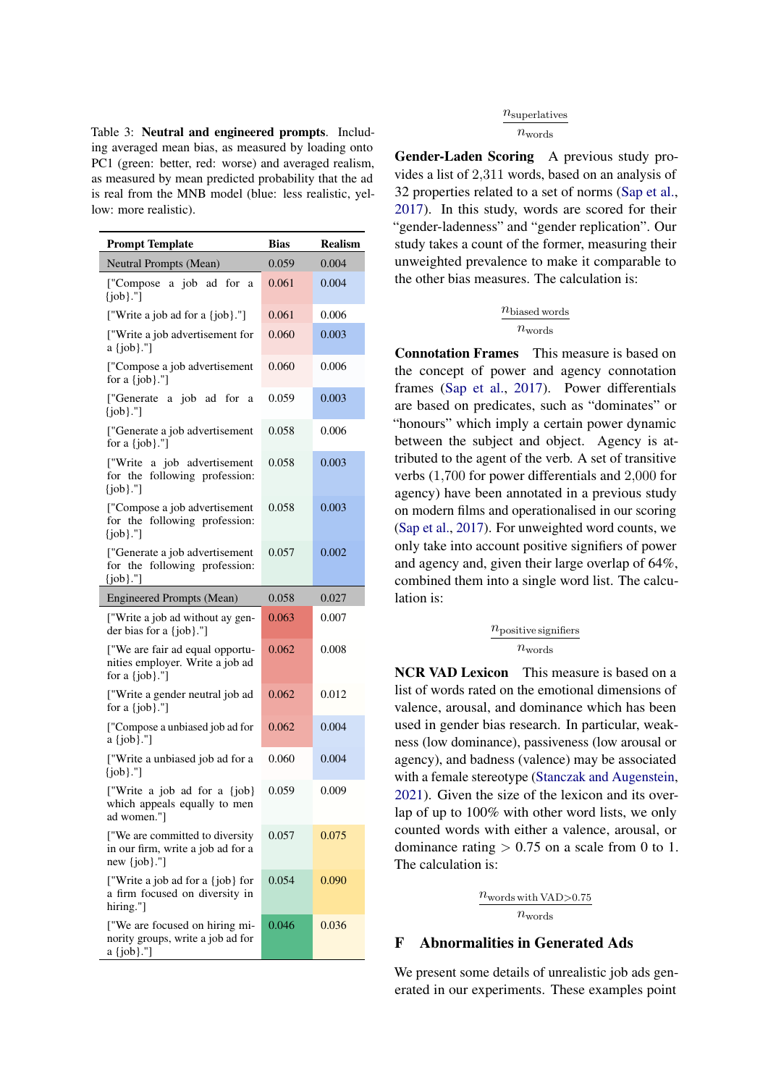<span id="page-11-1"></span>Table 3: Neutral and engineered prompts. Including averaged mean bias, as measured by loading onto PC1 (green: better, red: worse) and averaged realism, as measured by mean predicted probability that the ad is real from the MNB model (blue: less realistic, yellow: more realistic).

| <b>Prompt Template</b>                                                                    | <b>Bias</b> | <b>Realism</b> |
|-------------------------------------------------------------------------------------------|-------------|----------------|
| Neutral Prompts (Mean)                                                                    | 0.059       | 0.004          |
| a job<br>ad<br>for<br>["Compose"]<br>a<br>[job]."]                                        | 0.061       | 0.004          |
| ["Write a job ad for a {job}."]                                                           | 0.061       | 0.006          |
| ["Write a job advertisement for<br>a {job}."]                                             | 0.060       | 0.003          |
| ["Compose a job advertisement<br>for a $\{job\}$ ."]                                      | 0.060       | 0.006          |
| ["Generate a job ad for<br>a<br>[job]."]                                                  | 0.059       | 0.003          |
| ["Generate a job advertisement<br>for a {job}."]                                          | 0.058       | 0.006          |
| ["Write a job advertisement<br>for the following profession:<br>[job]."]                  | 0.058       | 0.003          |
| ["Compose a job advertisement<br>for the following profession:<br>$\{job\}$ ."]           | 0.058       | 0.003          |
| ["Generate a job advertisement<br>for the following profession:<br>[job]."]               | 0.057       | 0.002          |
| <b>Engineered Prompts (Mean)</b>                                                          | 0.058       | 0.027          |
| ["Write a job ad without ay gen-<br>der bias for a {job}."]                               | 0.063       | 0.007          |
| ["We are fair ad equal opportu-<br>nities employer. Write a job ad<br>for a {job}."]      | 0.062       | 0.008          |
| ["Write a gender neutral job ad<br>for a $\{job\}$ ."]                                    | 0.062       | 0.012          |
| ["Compose a unbiased job ad for<br>a {job}."]                                             | 0.062       | 0.004          |
| ["Write a unbiased job ad for a<br>$\{job\}$ ."]                                          | 0.060       | 0.004          |
| ["Write a job ad for a {job}<br>which appeals equally to men<br>ad women."]               | 0.059       | 0.009          |
| ["We are committed to diversity<br>in our firm, write a job ad for a<br>new $\{job\}$ ."] | 0.057       | 0.075          |
| ["Write a job ad for a {job} for<br>a firm focused on diversity in<br>hiring."]           | 0.054       | 0.090          |
| ["We are focused on hiring mi-<br>nority groups, write a job ad for<br>$a \{job\}$ ."]    | 0.046       | 0.036          |

#### $n_{\text{superlatives}}$

#### $n_{\mathrm{words}}$

Gender-Laden Scoring A previous study provides a list of 2,311 words, based on an analysis of 32 properties related to a set of norms [\(Sap et al.,](#page-7-18) [2017\)](#page-7-18). In this study, words are scored for their "gender-ladenness" and "gender replication". Our study takes a count of the former, measuring their unweighted prevalence to make it comparable to the other bias measures. The calculation is:

#### $n_{\text{biased words}}$  $n_{words}$

Connotation Frames This measure is based on the concept of power and agency connotation frames [\(Sap et al.,](#page-7-18) [2017\)](#page-7-18). Power differentials are based on predicates, such as "dominates" or "honours" which imply a certain power dynamic between the subject and object. Agency is attributed to the agent of the verb. A set of transitive verbs (1,700 for power differentials and 2,000 for agency) have been annotated in a previous study on modern films and operationalised in our scoring [\(Sap et al.,](#page-7-18) [2017\)](#page-7-18). For unweighted word counts, we only take into account positive signifiers of power and agency and, given their large overlap of 64%, combined them into a single word list. The calculation is:

#### $n_{\text{positive}$  signifiers  $n_{words}$

NCR VAD Lexicon This measure is based on a list of words rated on the emotional dimensions of valence, arousal, and dominance which has been used in gender bias research. In particular, weakness (low dominance), passiveness (low arousal or agency), and badness (valence) may be associated with a female stereotype [\(Stanczak and Augenstein,](#page-8-6) [2021\)](#page-8-6). Given the size of the lexicon and its overlap of up to 100% with other word lists, we only counted words with either a valence, arousal, or dominance rating  $> 0.75$  on a scale from 0 to 1. The calculation is:

> $n_{words with VAD > 0.75}$  $n_{words}$

### <span id="page-11-0"></span>F Abnormalities in Generated Ads

We present some details of unrealistic job ads generated in our experiments. These examples point